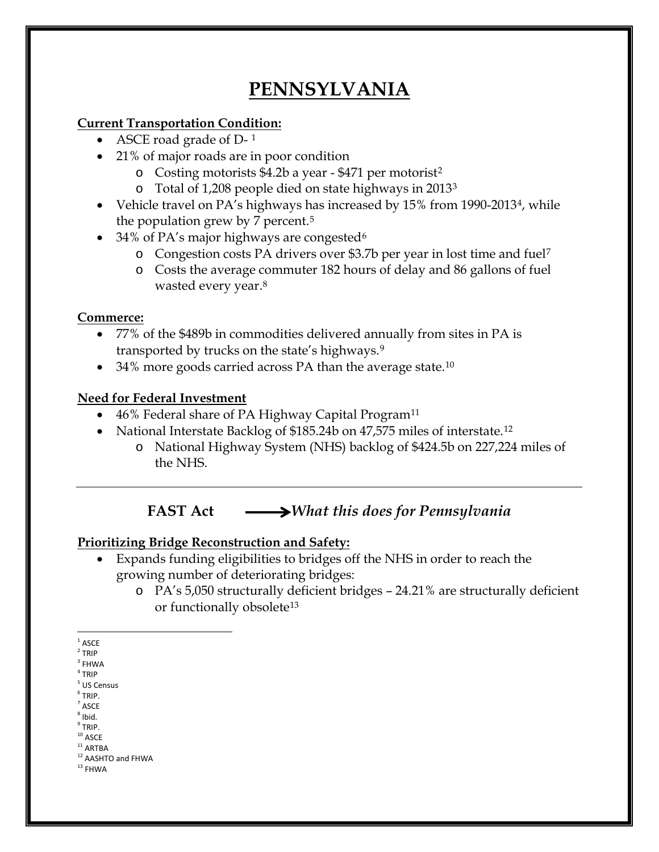# **PENNSYLVANIA**

#### **Current Transportation Condition:**

- ASCE road grade of D-[1](#page-0-0)
- 21% of major roads are in poor condition
	- o Costing motorists \$4.2b a year \$471 per motorist[2](#page-0-1)
	- o Total of 1,208 people died on state highways in 2013[3](#page-0-2)
- Vehicle travel on PA's highways has increased by 15% from 1990-2013<sup>[4](#page-0-3)</sup>, while the population grew by 7 percent.[5](#page-0-4)
- 34% of PA's major highways are congested  $6\overline{ }$  $6\overline{ }$ 
	- o Congestion costs PA drivers over \$3.7b per year in lost time and fuel[7](#page-0-6)
	- o Costs the average commuter 182 hours of delay and 86 gallons of fuel wasted every year[.8](#page-0-7)

## **Commerce:**

- 77% of the \$489b in commodities delivered annually from sites in PA is transported by trucks on the state's highways.[9](#page-0-8)
- 34% more goods carried across PA than the average state.<sup>[10](#page-0-9)</sup>

# **Need for Federal Investment**

- 46% Federal share of PA Highway Capital Program<sup>[11](#page-0-10)</sup>
- National Interstate Backlog of \$185.24b on 47,575 miles of interstate.<sup>[12](#page-0-11)</sup>
	- o National Highway System (NHS) backlog of \$424.5b on 227,224 miles of the NHS.

# **FAST Act** *What this does for Pennsylvania*

## **Prioritizing Bridge Reconstruction and Safety:**

- Expands funding eligibilities to bridges off the NHS in order to reach the growing number of deteriorating bridges:
	- o PA's 5,050 structurally deficient bridges 24.21% are structurally deficient or functionally obsolete[13](#page-0-12)

- $<sup>6</sup>$  TRIP.</sup>
- <span id="page-0-6"></span> $'$  ASCE  $8$  Ibid.
- <span id="page-0-7"></span> $^9$  TRIP.
- <span id="page-0-9"></span><span id="page-0-8"></span> $^{\rm 10}$ ASCE  $^{\rm 11}$ ARTBA
- 

<span id="page-0-12"></span> $^{\rm 13}$  FHWA

<span id="page-0-0"></span> $1$  ASCE

<span id="page-0-1"></span> $2$  TRIP

<span id="page-0-2"></span> $^3$  FHWA  $\,$ 

<span id="page-0-3"></span> $4$  TRIP

<span id="page-0-5"></span><span id="page-0-4"></span><sup>5</sup> US Census

<span id="page-0-11"></span><span id="page-0-10"></span><sup>&</sup>lt;sup>12</sup> AASHTO and FHWA